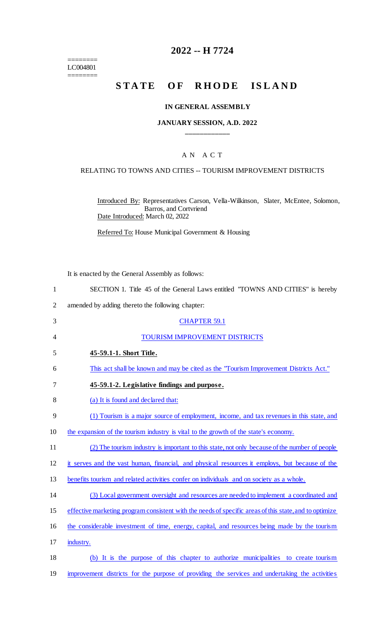======== LC004801 ========

## **2022 -- H 7724**

# **STATE OF RHODE ISLAND**

#### **IN GENERAL ASSEMBLY**

#### **JANUARY SESSION, A.D. 2022 \_\_\_\_\_\_\_\_\_\_\_\_**

## A N A C T

#### RELATING TO TOWNS AND CITIES -- TOURISM IMPROVEMENT DISTRICTS

Introduced By: Representatives Carson, Vella-Wilkinson, Slater, McEntee, Solomon, Barros, and Cortvriend Date Introduced: March 02, 2022

Referred To: House Municipal Government & Housing

It is enacted by the General Assembly as follows:

| SECTION 1. Title 45 of the General Laws entitled "TOWNS AND CITIES" is hereby |  |  |  |  |  |
|-------------------------------------------------------------------------------|--|--|--|--|--|
|                                                                               |  |  |  |  |  |

2 amended by adding thereto the following chapter:

| 3              | <b>CHAPTER 59.1</b>                                                                                    |
|----------------|--------------------------------------------------------------------------------------------------------|
| $\overline{4}$ | TOURISM IMPROVEMENT DISTRICTS                                                                          |
| 5              | 45-59.1-1. Short Title.                                                                                |
| 6              | This act shall be known and may be cited as the "Tourism Improvement Districts Act."                   |
| 7              | 45-59.1-2. Legislative findings and purpose.                                                           |
| 8              | (a) It is found and declared that:                                                                     |
| 9              | (1) Tourism is a major source of employment, income, and tax revenues in this state, and               |
| 10             | the expansion of the tourism industry is vital to the growth of the state's economy.                   |
| 11             | (2) The tourism industry is important to this state, not only because of the number of people          |
| 12             | it serves and the vast human, financial, and physical resources it employs, but because of the         |
| 13             | benefits tourism and related activities confer on individuals and on society as a whole.               |
| 14             | (3) Local government oversight and resources are needed to implement a coordinated and                 |
| 15             | effective marketing program consistent with the needs of specific areas of this state, and to optimize |
| 16             | the considerable investment of time, energy, capital, and resources being made by the tourism          |
| 17             | industry.                                                                                              |
| 18             | (b) It is the purpose of this chapter to authorize municipalities to create tourism                    |
| 19             | improvement districts for the purpose of providing the services and undertaking the activities         |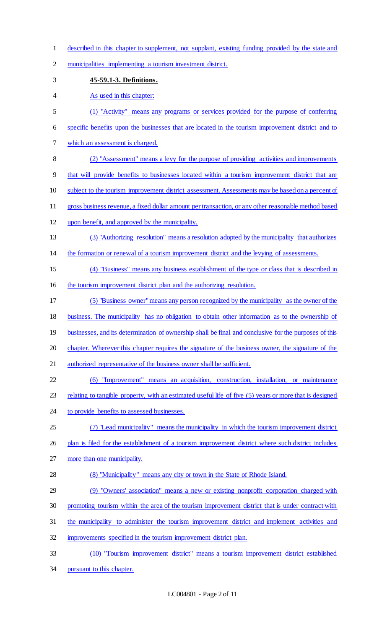- described in this chapter to supplement, not supplant, existing funding provided by the state and
- municipalities implementing a tourism investment district.
- **45-59.1-3. Definitions.**
- 4 As used in this chapter:
- (1) "Activity" means any programs or services provided for the purpose of conferring
- specific benefits upon the businesses that are located in the tourism improvement district and to
- which an assessment is charged.
- (2) "Assessment" means a levy for the purpose of providing activities and improvements
- that will provide benefits to businesses located within a tourism improvement district that are
- 10 subject to the tourism improvement district assessment. Assessments may be based on a percent of
- gross business revenue, a fixed dollar amount per transaction, or any other reasonable method based
- upon benefit, and approved by the municipality.
- (3) "Authorizing resolution" means a resolution adopted by the municipality that authorizes
- the formation or renewal of a tourism improvement district and the levying of assessments.
- (4) "Business" means any business establishment of the type or class that is described in
- the tourism improvement district plan and the authorizing resolution.
- (5) "Business owner"means any person recognized by the municipality as the owner of the
- business. The municipality has no obligation to obtain other information as to the ownership of
- 19 businesses, and its determination of ownership shall be final and conclusive for the purposes of this
- chapter. Wherever this chapter requires the signature of the business owner, the signature of the
- 21 authorized representative of the business owner shall be sufficient.
- (6) "Improvement" means an acquisition, construction, installation, or maintenance
- 23 relating to tangible property, with an estimated useful life of five (5) years or more that is designed
- 24 to provide benefits to assessed businesses.
- (7) "Lead municipality" means the municipality in which the tourism improvement district
- 26 plan is filed for the establishment of a tourism improvement district where such district includes
- more than one municipality.
- (8) "Municipality" means any city or town in the State of Rhode Island.
- (9) "Owners' association" means a new or existing nonprofit corporation charged with
- promoting tourism within the area of the tourism improvement district that is under contract with
- the municipality to administer the tourism improvement district and implement activities and
- improvements specified in the tourism improvement district plan.
- (10) "Tourism improvement district" means a tourism improvement district established
- pursuant to this chapter.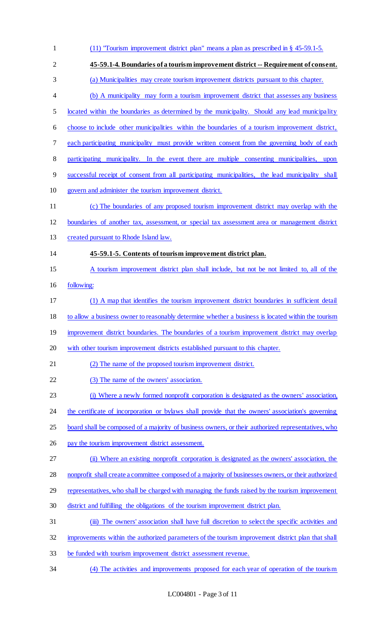| $\mathbf{1}$   | $(11)$ "Tourism improvement district plan" means a plan as prescribed in § 45-59.1-5.               |
|----------------|-----------------------------------------------------------------------------------------------------|
| $\overline{2}$ | 45-59.1-4. Boundaries of a tourism improvement district -- Requirement of consent.                  |
| 3              | (a) Municipalities may create tourism improvement districts pursuant to this chapter.               |
| $\overline{4}$ | (b) A municipality may form a tourism improvement district that assesses any business               |
| 5              | located within the boundaries as determined by the municipality. Should any lead municipality       |
| 6              | choose to include other municipalities within the boundaries of a tourism improvement district,     |
| 7              | each participating municipality must provide written consent from the governing body of each        |
| 8              | participating municipality. In the event there are multiple consenting municipalities,<br>upon      |
| 9              | successful receipt of consent from all participating municipalities, the lead municipality shall    |
| 10             | govern and administer the tourism improvement district.                                             |
| 11             | (c) The boundaries of any proposed tourism improvement district may overlap with the                |
| 12             | boundaries of another tax, assessment, or special tax assessment area or management district        |
| 13             | created pursuant to Rhode Island law.                                                               |
| 14             | 45-59.1-5. Contents of tourism improvement district plan.                                           |
| 15             | A tourism improvement district plan shall include, but not be not limited to, all of the            |
| 16             | following:                                                                                          |
| 17             | (1) A map that identifies the tourism improvement district boundaries in sufficient detail          |
| 18             | to allow a business owner to reasonably determine whether a business is located within the tourism  |
| 19             | improvement district boundaries. The boundaries of a tourism improvement district may overlap       |
| 20             | with other tourism improvement districts established pursuant to this chapter.                      |
| 21             | (2) The name of the proposed tourism improvement district.                                          |
| 22             | (3) The name of the owners' association.                                                            |
| 23             | (i) Where a newly formed nonprofit corporation is designated as the owners' association,            |
| 24             | the certificate of incorporation or bylaws shall provide that the owners' association's governing   |
| 25             | board shall be composed of a majority of business owners, or their authorized representatives, who  |
| 26             | pay the tourism improvement district assessment.                                                    |
| 27             | (ii) Where an existing nonprofit corporation is designated as the owners' association, the          |
| 28             | nonprofit shall create a committee composed of a majority of businesses owners, or their authorized |
| 29             | representatives, who shall be charged with managing the funds raised by the tourism improvement     |
| 30             | district and fulfilling the obligations of the tourism improvement district plan.                   |
| 31             | (iii) The owners' association shall have full discretion to select the specific activities and      |
| 32             | improvements within the authorized parameters of the tourism improvement district plan that shall   |
| 33             | be funded with tourism improvement district assessment revenue.                                     |
| 34             | (4) The activities and improvements proposed for each year of operation of the tourism              |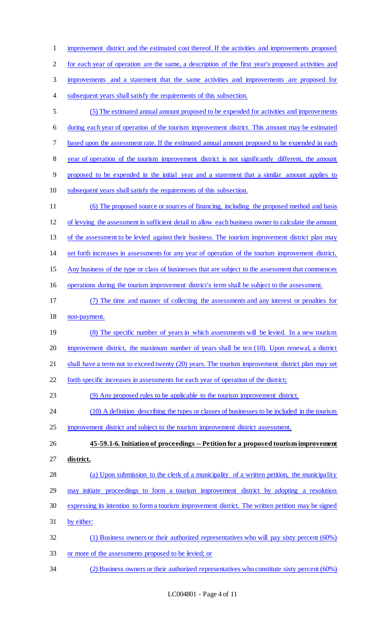improvement district and the estimated cost thereof. If the activities and improvements proposed for each year of operation are the same, a description of the first year's proposed activities and improvements and a statement that the same activities and improvements are proposed for subsequent years shall satisfy the requirements of this subsection. (5) The estimated annual amount proposed to be expended for activities and improvements during each year of operation of the tourism improvement district. This amount may be estimated based upon the assessment rate. If the estimated annual amount proposed to be expended in each year of operation of the tourism improvement district is not significantly different, the amount proposed to be expended in the initial year and a statement that a similar amount applies to subsequent years shall satisfy the requirements of this subsection. (6) The proposed source or sources of financing, including the proposed method and basis of levying the assessment in sufficient detail to allow each business owner to calculate the amount 13 of the assessment to be levied against their business. The tourism improvement district plan may set forth increases in assessments for any year of operation of the tourism improvement district. Any business of the type or class of businesses that are subject to the assessment that commences operations during the tourism improvement district's term shall be subject to the assessment. (7) The time and manner of collecting the assessments and any interest or penalties for non-payment. 19 (8) The specific number of years in which assessments will be levied. In a new tourism improvement district, the maximum number of years shall be ten (10). Upon renewal, a district

21 shall have a term not to exceed twenty (20) years. The tourism improvement district plan may set

forth specific increases in assessments for each year of operation of the district;

(9) Any proposed rules to be applicable to the tourism improvement district.

- 24 (10) A definition describing the types or classes of businesses to be included in the tourism
- improvement district and subject to the tourism improvement district assessment.

 **45-59.1-6. Initiation of proceedings -- Petition for a proposed tourism improvement district.** 

- 28 (a) Upon submission to the clerk of a municipality of a written petition, the municipality may initiate proceedings to form a tourism improvement district by adopting a resolution expressing its intention to form a tourism improvement district. The written petition may be signed
- by either:
- (1) Business owners or their authorized representatives who will pay sixty percent (60%) or more of the assessments proposed to be levied; or
- (2) Business owners or their authorized representatives who constitute sixty percent (60%)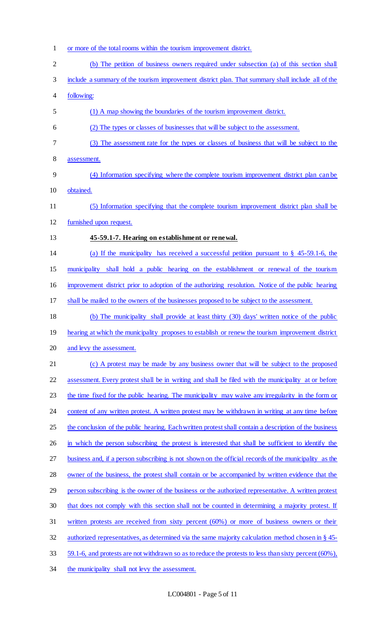(b) The petition of business owners required under subsection (a) of this section shall include a summary of the tourism improvement district plan. That summary shall include all of the following: (1) A map showing the boundaries of the tourism improvement district. (2) The types or classes of businesses that will be subject to the assessment. (3) The assessment rate for the types or classes of business that will be subject to the assessment. (4) Information specifying where the complete tourism improvement district plan can be obtained. (5) Information specifying that the complete tourism improvement district plan shall be furnished upon request. **45-59.1-7. Hearing on establishment or renewal.**  (a) If the municipality has received a successful petition pursuant to § 45-59.1-6, the municipality shall hold a public hearing on the establishment or renewal of the tourism improvement district prior to adoption of the authorizing resolution. Notice of the public hearing shall be mailed to the owners of the businesses proposed to be subject to the assessment. (b) The municipality shall provide at least thirty (30) days' written notice of the public 19 hearing at which the municipality proposes to establish or renew the tourism improvement district and levy the assessment. 21 (c) A protest may be made by any business owner that will be subject to the proposed assessment. Every protest shall be in writing and shall be filed with the municipality at or before 23 the time fixed for the public hearing. The municipality may waive any irregularity in the form or 24 content of any written protest. A written protest may be withdrawn in writing at any time before 25 the conclusion of the public hearing. Each written protest shall contain a description of the business 26 in which the person subscribing the protest is interested that shall be sufficient to identify the business and, if a person subscribing is not shown on the official records of the municipality as the

or more of the total rooms within the tourism improvement district.

28 owner of the business, the protest shall contain or be accompanied by written evidence that the person subscribing is the owner of the business or the authorized representative. A written protest 30 that does not comply with this section shall not be counted in determining a majority protest. If written protests are received from sixty percent (60%) or more of business owners or their authorized representatives, as determined via the same majority calculation method chosen in § 45- 59.1-6, and protests are not withdrawn so as to reduce the protests to less than sixty percent (60%),

the municipality shall not levy the assessment.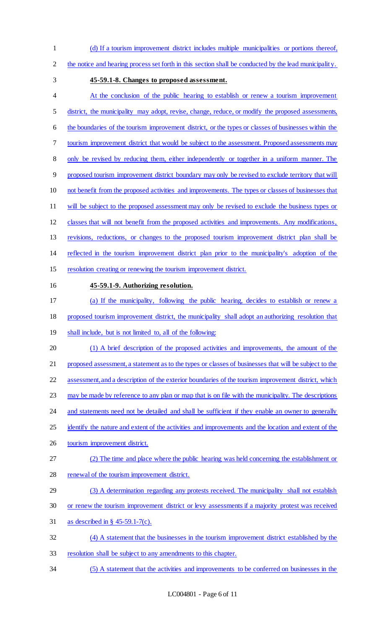- (d) If a tourism improvement district includes multiple municipalities or portions thereof,
- the notice and hearing process set forth in this section shall be conducted by the lead municipality.
- 
- **45-59.1-8. Changes to proposed assessment.**
- At the conclusion of the public hearing to establish or renew a tourism improvement district, the municipality may adopt, revise, change, reduce, or modify the proposed assessments, the boundaries of the tourism improvement district, or the types or classes of businesses within the tourism improvement district that would be subject to the assessment. Proposed assessments may only be revised by reducing them, either independently or together in a uniform manner. The proposed tourism improvement district boundary may only be revised to exclude territory that will not benefit from the proposed activities and improvements. The types or classes of businesses that 11 will be subject to the proposed assessment may only be revised to exclude the business types or classes that will not benefit from the proposed activities and improvements. Any modifications, revisions, reductions, or changes to the proposed tourism improvement district plan shall be reflected in the tourism improvement district plan prior to the municipality's adoption of the resolution creating or renewing the tourism improvement district. **45-59.1-9. Authorizing resolution.**  (a) If the municipality, following the public hearing, decides to establish or renew a proposed tourism improvement district, the municipality shall adopt an authorizing resolution that
- shall include, but is not limited to, all of the following:
- (1) A brief description of the proposed activities and improvements, the amount of the 21 proposed assessment, a statement as to the types or classes of businesses that will be subject to the assessment, and a description of the exterior boundaries of the tourism improvement district, which 23 may be made by reference to any plan or map that is on file with the municipality. The descriptions
- 24 and statements need not be detailed and shall be sufficient if they enable an owner to generally
- 25 identify the nature and extent of the activities and improvements and the location and extent of the
- tourism improvement district.
- (2) The time and place where the public hearing was held concerning the establishment or 28 renewal of the tourism improvement district.
- (3) A determination regarding any protests received. The municipality shall not establish
- or renew the tourism improvement district or levy assessments if a majority protest was received
- as described in § 45-59.1-7(c).
- (4) A statement that the businesses in the tourism improvement district established by the
- resolution shall be subject to any amendments to this chapter.
- (5) A statement that the activities and improvements to be conferred on businesses in the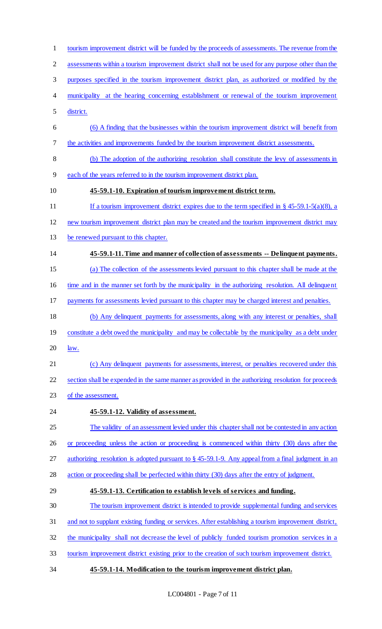assessments within a tourism improvement district shall not be used for any purpose other than the purposes specified in the tourism improvement district plan, as authorized or modified by the municipality at the hearing concerning establishment or renewal of the tourism improvement district. (6) A finding that the businesses within the tourism improvement district will benefit from the activities and improvements funded by the tourism improvement district assessments. (b) The adoption of the authorizing resolution shall constitute the levy of assessments in each of the years referred to in the tourism improvement district plan. **45-59.1-10. Expiration of tourism improvement district term.**  11 If a tourism improvement district expires due to the term specified in § 45-59.1-5(a)(8), a new tourism improvement district plan may be created and the tourism improvement district may be renewed pursuant to this chapter. **45-59.1-11. Time and manner of collection of assessments -- Delinquent payments.**  (a) The collection of the assessments levied pursuant to this chapter shall be made at the time and in the manner set forth by the municipality in the authorizing resolution. All delinquent 17 payments for assessments levied pursuant to this chapter may be charged interest and penalties. (b) Any delinquent payments for assessments, along with any interest or penalties, shall 19 constitute a debt owed the municipality and may be collectable by the municipality as a debt under  $20 \frac{\text{law}}{\text{law}}$ . 21 (c) Any delinquent payments for assessments, interest, or penalties recovered under this section shall be expended in the same manner as provided in the authorizing resolution for proceeds 23 of the assessment. **45-59.1-12. Validity of assessment.**  The validity of an assessment levied under this chapter shall not be contested in any action or proceeding unless the action or proceeding is commenced within thirty (30) days after the authorizing resolution is adopted pursuant to § 45-59.1-9. Any appeal from a final judgment in an action or proceeding shall be perfected within thirty (30) days after the entry of judgment. **45-59.1-13. Certification to establish levels of services and funding.**  The tourism improvement district is intended to provide supplemental funding and services and not to supplant existing funding or services. After establishing a tourism improvement district, the municipality shall not decrease the level of publicly funded tourism promotion services in a tourism improvement district existing prior to the creation of such tourism improvement district. **45-59.1-14. Modification to the tourism improvement district plan.** 

tourism improvement district will be funded by the proceeds of assessments. The revenue from the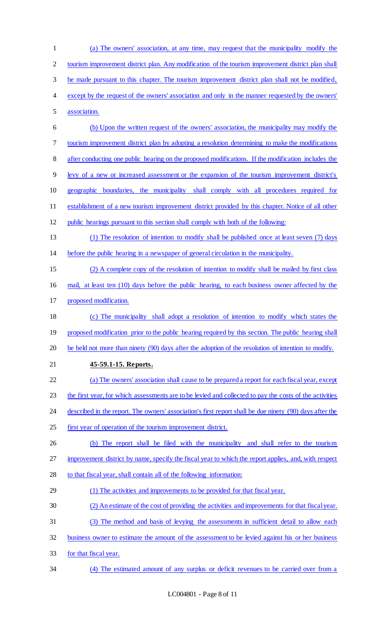| $\mathbf{1}$   | (a) The owners' association, at any time, may request that the municipality modify the                  |
|----------------|---------------------------------------------------------------------------------------------------------|
| $\overline{c}$ | tourism improvement district plan. Any modification of the tourism improvement district plan shall      |
| 3              | be made pursuant to this chapter. The tourism improvement district plan shall not be modified,          |
| 4              | except by the request of the owners' association and only in the manner requested by the owners'        |
| 5              | association.                                                                                            |
| 6              | (b) Upon the written request of the owners' association, the municipality may modify the                |
| 7              | tourism improvement district plan by adopting a resolution determining to make the modifications        |
| $8\,$          | after conducting one public hearing on the proposed modifications. If the modification includes the     |
| 9              | levy of a new or increased assessment or the expansion of the tourism improvement district's            |
| 10             | geographic boundaries, the municipality shall comply with all procedures required for                   |
| 11             | establishment of a new tourism improvement district provided by this chapter. Notice of all other       |
| 12             | public hearings pursuant to this section shall comply with both of the following:                       |
| 13             | (1) The resolution of intention to modify shall be published once at least seven (7) days               |
| 14             | before the public hearing in a newspaper of general circulation in the municipality.                    |
| 15             | (2) A complete copy of the resolution of intention to modify shall be mailed by first class             |
| 16             | mail, at least ten (10) days before the public hearing, to each business owner affected by the          |
| 17             | proposed modification.                                                                                  |
| 18             | (c) The municipality shall adopt a resolution of intention to modify which states the                   |
| 19             | proposed modification prior to the public hearing required by this section. The public hearing shall    |
| 20             | be held not more than ninety (90) days after the adoption of the resolution of intention to modify.     |
| 21             | 45-59.1-15. Reports.                                                                                    |
| 22             | (a) The owners' association shall cause to be prepared a report for each fiscal year, except            |
| 23             | the first year, for which assessments are to be levied and collected to pay the costs of the activities |
| 24             | described in the report. The owners' association's first report shall be due ninety (90) days after the |
| 25             | first year of operation of the tourism improvement district.                                            |
| 26             | (b) The report shall be filed with the municipality and shall refer to the tourism                      |
| 27             | improvement district by name, specify the fiscal year to which the report applies, and, with respect    |
| 28             | to that fiscal year, shall contain all of the following information:                                    |
| 29             | (1) The activities and improvements to be provided for that fiscal year.                                |
| 30             | (2) An estimate of the cost of providing the activities and improvements for that fiscal year.          |
| 31             | (3) The method and basis of levying the assessments in sufficient detail to allow each                  |
| 32             | business owner to estimate the amount of the assessment to be levied against his or her business        |
| 33             | for that fiscal year.                                                                                   |
| 34             | (4) The estimated amount of any surplus or deficit revenues to be carried over from a                   |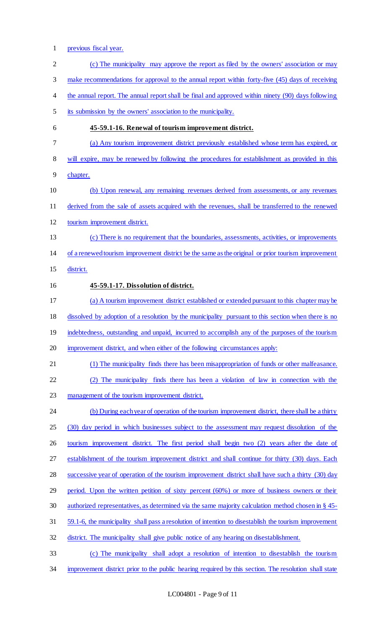- previous fiscal year. 2 (c) The municipality may approve the report as filed by the owners' association or may 3 make recommendations for approval to the annual report within forty-five (45) days of receiving 4 the annual report. The annual report shall be final and approved within ninety (90) days following its submission by the owners' association to the municipality. **45-59.1-16. Renewal of tourism improvement district.**  (a) Any tourism improvement district previously established whose term has expired, or will expire, may be renewed by following the procedures for establishment as provided in this chapter. (b) Upon renewal, any remaining revenues derived from assessments, or any revenues derived from the sale of assets acquired with the revenues, shall be transferred to the renewed tourism improvement district. (c) There is no requirement that the boundaries, assessments, activities, or improvements of a renewed tourism improvement district be the same as the original or prior tourism improvement district. **45-59.1-17. Dissolution of district.**  (a) A tourism improvement district established or extended pursuant to this chapter may be dissolved by adoption of a resolution by the municipality pursuant to this section when there is no 19 indebtedness, outstanding and unpaid, incurred to accomplish any of the purposes of the tourism improvement district, and when either of the following circumstances apply: (1) The municipality finds there has been misappropriation of funds or other malfeasance. (2) The municipality finds there has been a violation of law in connection with the management of the tourism improvement district. 24 (b) During each year of operation of the tourism improvement district, there shall be a thirty (30) day period in which businesses subject to the assessment may request dissolution of the 26 tourism improvement district. The first period shall begin two (2) years after the date of establishment of the tourism improvement district and shall continue for thirty (30) days. Each 28 successive year of operation of the tourism improvement district shall have such a thirty (30) day period. Upon the written petition of sixty percent (60%) or more of business owners or their authorized representatives, as determined via the same majority calculation method chosen in § 45- 59.1-6, the municipality shall pass a resolution of intention to disestablish the tourism improvement district. The municipality shall give public notice of any hearing on disestablishment. (c) The municipality shall adopt a resolution of intention to disestablish the tourism
	- improvement district prior to the public hearing required by this section. The resolution shall state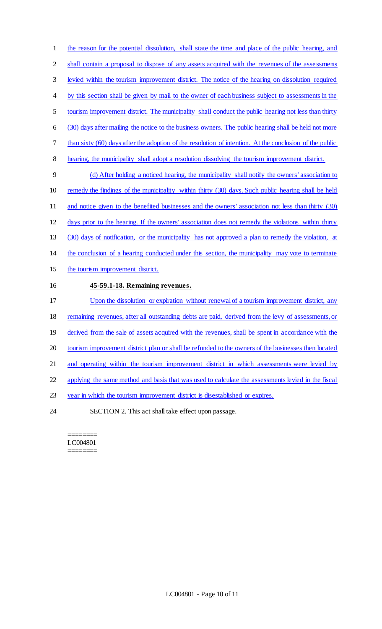the reason for the potential dissolution, shall state the time and place of the public hearing, and shall contain a proposal to dispose of any assets acquired with the revenues of the assessments levied within the tourism improvement district. The notice of the hearing on dissolution required 4 by this section shall be given by mail to the owner of each business subject to assessments in the tourism improvement district. The municipality shall conduct the public hearing not less than thirty (30) days after mailing the notice to the business owners. The public hearing shall be held not more 7 than sixty (60) days after the adoption of the resolution of intention. At the conclusion of the public hearing, the municipality shall adopt a resolution dissolving the tourism improvement district. (d) After holding a noticed hearing, the municipality shall notify the owners' association to 10 remedy the findings of the municipality within thirty (30) days. Such public hearing shall be held 11 and notice given to the benefited businesses and the owners' association not less than thirty (30) days prior to the hearing. If the owners' association does not remedy the violations within thirty (30) days of notification, or the municipality has not approved a plan to remedy the violation, at the conclusion of a hearing conducted under this section, the municipality may vote to terminate the tourism improvement district. **45-59.1-18. Remaining revenues.**  17 Upon the dissolution or expiration without renewal of a tourism improvement district, any remaining revenues, after all outstanding debts are paid, derived from the levy of assessments, or 19 derived from the sale of assets acquired with the revenues, shall be spent in accordance with the tourism improvement district plan or shall be refunded to the owners of the businesses then located 21 and operating within the tourism improvement district in which assessments were levied by applying the same method and basis that was used to calculate the assessments levied in the fiscal year in which the tourism improvement district is disestablished or expires. SECTION 2. This act shall take effect upon passage.

======== LC004801 ========